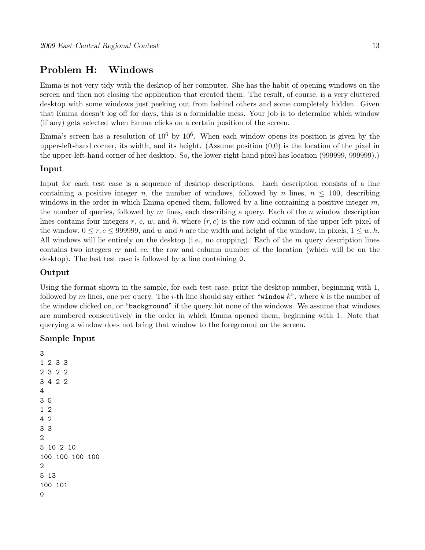## Problem H: Windows

Emma is not very tidy with the desktop of her computer. She has the habit of opening windows on the screen and then not closing the application that created them. The result, of course, is a very cluttered desktop with some windows just peeking out from behind others and some completely hidden. Given that Emma doesn't log off for days, this is a formidable mess. Your job is to determine which window (if any) gets selected when Emma clicks on a certain position of the screen.

Emma's screen has a resolution of  $10^6$  by  $10^6$ . When each window opens its position is given by the upper-left-hand corner, its width, and its height. (Assume position (0,0) is the location of the pixel in the upper-left-hand corner of her desktop. So, the lower-right-hand pixel has location (999999, 999999).)

#### Input

Input for each test case is a sequence of desktop descriptions. Each description consists of a line containing a positive integer n, the number of windows, followed by n lines,  $n \leq 100$ , describing windows in the order in which Emma opened them, followed by a line containing a positive integer  $m$ , the number of queries, followed by  $m$  lines, each describing a query. Each of the  $n$  window description lines contains four integers r, c, w, and h, where  $(r, c)$  is the row and column of the upper left pixel of the window,  $0 \le r, c \le 999999$ , and w and h are the width and height of the window, in pixels,  $1 \le w, h$ . All windows will lie entirely on the desktop (i.e., no cropping). Each of the m query description lines contains two integers cr and cc, the row and column number of the location (which will be on the desktop). The last test case is followed by a line containing 0.

#### Output

Using the format shown in the sample, for each test case, print the desktop number, beginning with 1, followed by m lines, one per query. The *i*-th line should say either "window  $k$ ", where k is the number of the window clicked on, or "background" if the query hit none of the windows. We assume that windows are numbered consecutively in the order in which Emma opened them, beginning with 1. Note that querying a window does not bring that window to the foreground on the screen.

### Sample Input

```
3
1 2 3 3
2 3 2 2
3 4 2 2
4
3 5
1 2
4 2
3 3
2
5 10 2 10
100 100 100 100
2
5 13
100 101
0
```